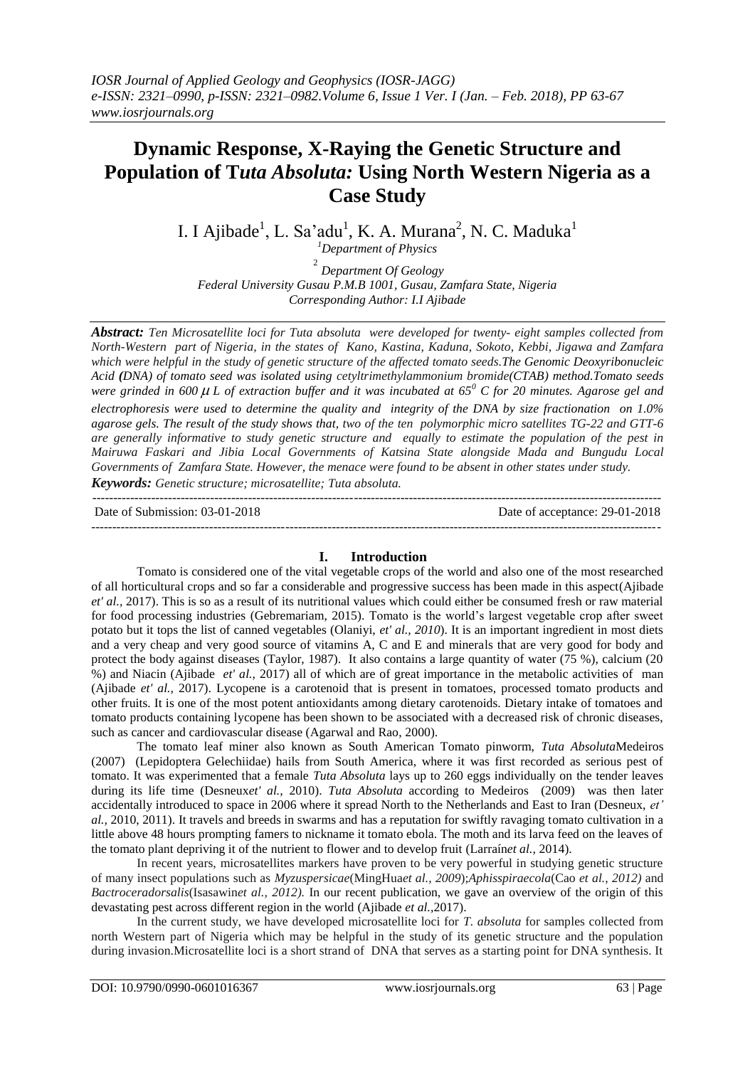# **Dynamic Response, X-Raying the Genetic Structure and Population of T***uta Absoluta:* **Using North Western Nigeria as a Case Study**

I. I Ajibade<sup>1</sup>, L. Sa'adu<sup>1</sup>, K. A. Murana<sup>2</sup>, N. C. Maduka<sup>1</sup>

*<sup>1</sup>Department of Physics*

2 *Department Of Geology Federal University Gusau P.M.B 1001, Gusau, Zamfara State, Nigeria Corresponding Author: I.I Ajibade*

*Abstract: Ten Microsatellite loci for Tuta absoluta were developed for twenty- eight samples collected from North-Western part of Nigeria, in the states of Kano, Kastina, Kaduna, Sokoto, Kebbi, Jigawa and Zamfara which were helpful in the study of genetic structure of the affected tomato seeds.The Genomic Deoxyribonucleic Acid (DNA) of tomato seed was isolated using cetyltrimethylammonium bromide(CTAB) method.Tomato seeds were grinded in 600 L of extraction buffer and it was incubated at 65<sup>0</sup> C for 20 minutes. Agarose gel and electrophoresis were used to determine the quality and integrity of the DNA by size fractionation on 1.0% agarose gels. The result of the study shows that, two of the ten polymorphic micro satellites TG-22 and GTT-6 are generally informative to study genetic structure and equally to estimate the population of the pest in Mairuwa Faskari and Jibia Local Governments of Katsina State alongside Mada and Bungudu Local Governments of Zamfara State. However, the menace were found to be absent in other states under study. Keywords: Genetic structure; microsatellite; Tuta absoluta.*

 $-1.1$ 

Date of Submission: 03-01-2018 Date of acceptance: 29-01-2018 --------------------------------------------------------------------------------------------------------------------------------------*-*

## **I. Introduction**

Tomato is considered one of the vital vegetable crops of the world and also one of the most researched of all horticultural crops and so far a considerable and progressive success has been made in this aspect(Ajibade *et' al.,* 2017). This is so as a result of its nutritional values which could either be consumed fresh or raw material for food processing industries (Gebremariam, 2015). Tomato is the world's largest vegetable crop after sweet potato but it tops the list of canned vegetables (Olaniyi, *et' al., 2010*). It is an important ingredient in most diets and a very cheap and very good source of vitamins A, C and E and minerals that are very good for body and protect the body against diseases (Taylor, 1987). It also contains a large quantity of water (75 %), calcium (20 %) and Niacin (Ajibade *et' al.,* 2017) all of which are of great importance in the metabolic activities of man (Ajibade *et' al.,* 2017). Lycopene is a carotenoid that is present in tomatoes, processed tomato products and other fruits. It is one of the most potent antioxidants among dietary carotenoids. Dietary intake of tomatoes and tomato products containing lycopene has been shown to be associated with a decreased risk of chronic diseases, such as cancer and cardiovascular disease (Agarwal and Rao, 2000).

The tomato leaf miner also known as South American Tomato pinworm, *Tuta Absoluta*Medeiros (2007) (Lepidoptera Gelechiidae) hails from South America, where it was first recorded as serious pest of tomato. It was experimented that a female *Tuta Absoluta* lays up to 260 eggs individually on the tender leaves during its life time (Desneux*et' al.,* 2010). *Tuta Absoluta* according to Medeiros (2009) was then later accidentally introduced to space in 2006 where it spread North to the Netherlands and East to Iran (Desneux, *et' al.,* 2010, 2011). It travels and breeds in swarms and has a reputation for swiftly ravaging tomato cultivation in a little above 48 hours prompting famers to nickname it tomato ebola. The moth and its larva feed on the leaves of the tomato plant depriving it of the nutrient to flower and to develop fruit (Larraín*et al.,* 2014).

In recent years, microsatellites markers have proven to be very powerful in studying genetic structure of many insect populations such as *Myzuspersicae*(MingHua*et al., 2009*);*Aphisspiraecola*(Cao *et al., 2012)* and *Bactroceradorsalis*(Isasawin*et al., 2012).* In our recent publication, we gave an overview of the origin of this devastating pest across different region in the world (Ajibade *et al.,*2017).

In the current study, we have developed microsatellite loci for *T. absoluta* for samples collected from north Western part of Nigeria which may be helpful in the study of its genetic structure and the population during invasion.Microsatellite loci is a short strand of DNA that serves as a starting point for DNA synthesis. It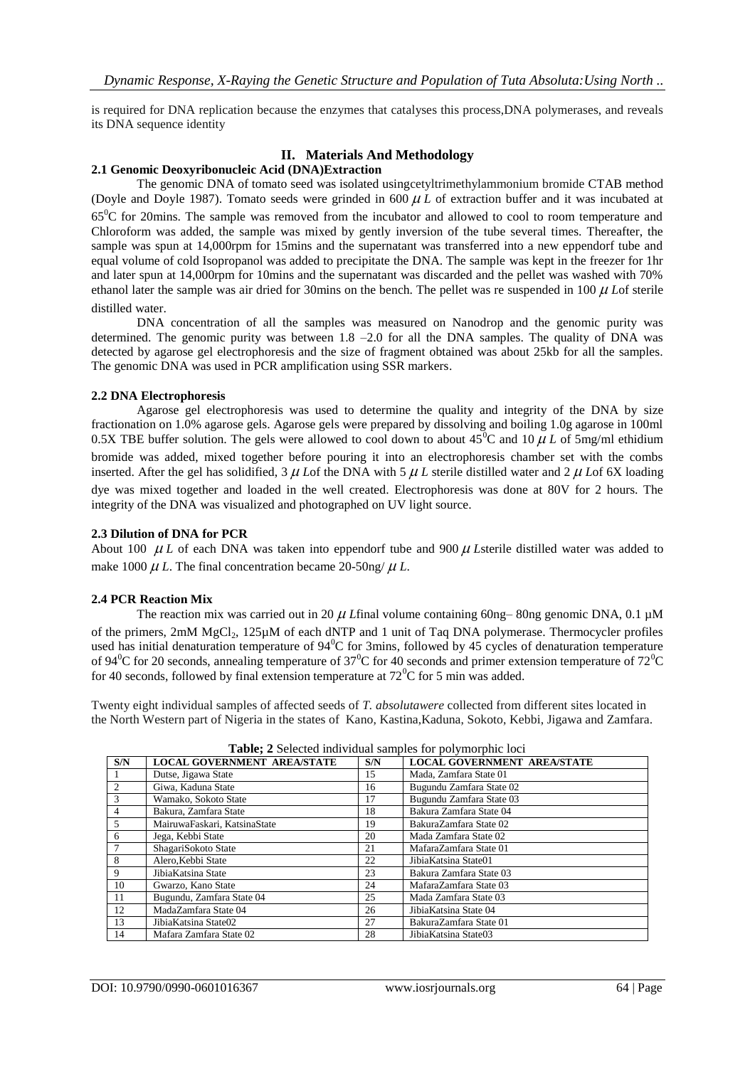is required for DNA replication because the enzymes that catalyses this process,DNA polymerases, and reveals its DNA sequence identity

# **II. Materials And Methodology**

#### **2.1 Genomic Deoxyribonucleic Acid (DNA)Extraction**

The genomic DNA of tomato seed was isolated usingcetyltrimethylammonium bromide CTAB method (Doyle and Doyle 1987). Tomato seeds were grinded in  $600 \mu L$  of extraction buffer and it was incubated at 65<sup>0</sup>C for 20mins. The sample was removed from the incubator and allowed to cool to room temperature and Chloroform was added, the sample was mixed by gently inversion of the tube several times. Thereafter, the sample was spun at 14,000rpm for 15mins and the supernatant was transferred into a new eppendorf tube and equal volume of cold Isopropanol was added to precipitate the DNA. The sample was kept in the freezer for 1hr and later spun at 14,000rpm for 10mins and the supernatant was discarded and the pellet was washed with 70% ethanol later the sample was air dried for 30mins on the bench. The pellet was re suspended in  $100 \mu$  Lof sterile distilled water.

DNA concentration of all the samples was measured on Nanodrop and the genomic purity was determined. The genomic purity was between 1.8 –2.0 for all the DNA samples. The quality of DNA was detected by agarose gel electrophoresis and the size of fragment obtained was about 25kb for all the samples. The genomic DNA was used in PCR amplification using SSR markers.

#### **2.2 DNA Electrophoresis**

Agarose gel electrophoresis was used to determine the quality and integrity of the DNA by size fractionation on 1.0% agarose gels. Agarose gels were prepared by dissolving and boiling 1.0g agarose in 100ml 0.5X TBE buffer solution. The gels were allowed to cool down to about  $45^{\circ}$ C and  $10 \mu L$  of 5mg/ml ethidium bromide was added, mixed together before pouring it into an electrophoresis chamber set with the combs inserted. After the gel has solidified,  $3 \mu$  Lof the DNA with  $5 \mu$  L sterile distilled water and  $2 \mu$  Lof 6X loading dye was mixed together and loaded in the well created. Electrophoresis was done at 80V for 2 hours. The integrity of the DNA was visualized and photographed on UV light source.

#### **2.3 Dilution of DNA for PCR**

About 100  $\mu$  L of each DNA was taken into eppendorf tube and 900  $\mu$  Lsterile distilled water was added to make  $1000 \mu L$ . The final concentration became  $20\text{-}50$ ng/ $\mu L$ .

#### **2.4 PCR Reaction Mix**

The reaction mix was carried out in 20  $\mu$  L final volume containing 60ng– 80ng genomic DNA, 0.1  $\mu$ M of the primers, 2mM MgCl<sub>2</sub>, 125µM of each dNTP and 1 unit of Taq DNA polymerase. Thermocycler profiles used has initial denaturation temperature of 94<sup>0</sup>C for 3mins, followed by 45 cycles of denaturation temperature of 94<sup>0</sup>C for 20 seconds, annealing temperature of 37<sup>0</sup>C for 40 seconds and primer extension temperature of 72<sup>0</sup>C for 40 seconds, followed by final extension temperature at  $72^{\circ}$ C for 5 min was added.

Twenty eight individual samples of affected seeds of *T. absolutawere* collected from different sites located in the North Western part of Nigeria in the states of Kano, Kastina,Kaduna, Sokoto, Kebbi, Jigawa and Zamfara.

| S/N          | <b>LOCAL GOVERNMENT AREA/STATE</b> | S/N | <b>LOCAL GOVERNMENT AREA/STATE</b> |  |
|--------------|------------------------------------|-----|------------------------------------|--|
|              | Dutse, Jigawa State                | 15  | Mada, Zamfara State 01             |  |
|              | Giwa, Kaduna State                 | 16  | Bugundu Zamfara State 02           |  |
| $\mathbf{3}$ | Wamako, Sokoto State               | 17  | Bugundu Zamfara State 03           |  |
| 4            | Bakura, Zamfara State              | 18  | Bakura Zamfara State 04            |  |
| 5            | MairuwaFaskari, KatsinaState       | 19  | BakuraZamfara State 02             |  |
| 6            | Jega, Kebbi State                  | 20  | Mada Zamfara State 02              |  |
|              | ShagariSokoto State                | 21  | MafaraZamfara State 01             |  |
| 8            | Alero, Kebbi State                 | 22  | JibiaKatsina State01               |  |
| 9            | JibiaKatsina State                 | 23  | Bakura Zamfara State 03            |  |
| 10           | Gwarzo, Kano State                 | 24  | MafaraZamfara State 03             |  |
| 11           | Bugundu, Zamfara State 04          | 25  | Mada Zamfara State 03              |  |
| 12           | MadaZamfara State 04               | 26  | JibiaKatsina State 04              |  |
| 13           | JibiaKatsina State02               | 27  | BakuraZamfara State 01             |  |
| 14           | Mafara Zamfara State 02            | 28  | JibiaKatsina State03               |  |

**Table; 2** Selected individual samples for polymorphic loci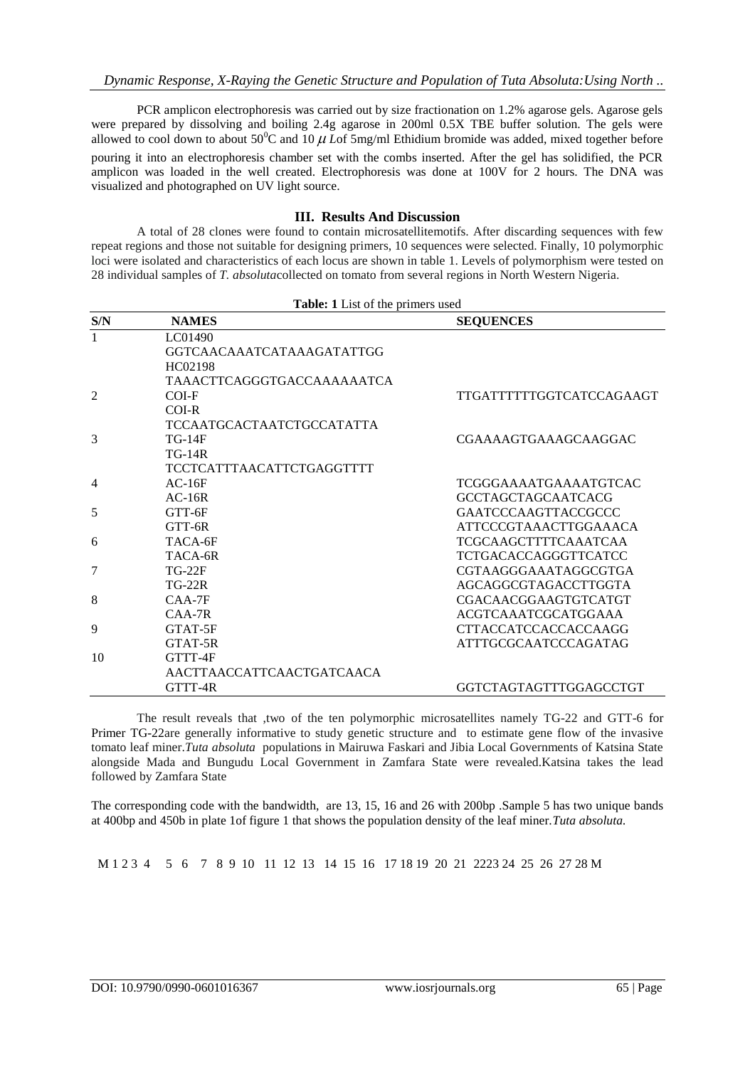PCR amplicon electrophoresis was carried out by size fractionation on 1.2% agarose gels. Agarose gels were prepared by dissolving and boiling 2.4g agarose in 200ml 0.5X TBE buffer solution. The gels were allowed to cool down to about  $50^{\circ}$ C and  $10 \mu$  Lof 5mg/ml Ethidium bromide was added, mixed together before pouring it into an electrophoresis chamber set with the combs inserted. After the gel has solidified, the PCR amplicon was loaded in the well created. Electrophoresis was done at 100V for 2 hours. The DNA was visualized and photographed on UV light source.

# **III. Results And Discussion**

A total of 28 clones were found to contain microsatellitemotifs. After discarding sequences with few repeat regions and those not suitable for designing primers, 10 sequences were selected. Finally, 10 polymorphic loci were isolated and characteristics of each locus are shown in table 1. Levels of polymorphism were tested on 28 individual samples of *T. absoluta*collected on tomato from several regions in North Western Nigeria.

| Table: 1 List of the primers used |                            |                              |  |
|-----------------------------------|----------------------------|------------------------------|--|
| S/N                               | <b>NAMES</b>               | <b>SEQUENCES</b>             |  |
| 1                                 | LC01490                    |                              |  |
|                                   | GGTCAACAAATCATAAAGATATTGG  |                              |  |
|                                   | HC02198                    |                              |  |
|                                   | TAAACTTCAGGGTGACCAAAAAATCA |                              |  |
| $\mathfrak{D}$                    | COI-F                      | TTGATTTTTTGGTCATCCAGAAGT     |  |
|                                   | $COI-R$                    |                              |  |
|                                   | TCCAATGCACTAATCTGCCATATTA  |                              |  |
| 3                                 | $TG-14F$                   | CGAAAAGTGAAAGCAAGGAC         |  |
|                                   | $TG-14R$                   |                              |  |
|                                   | TCCTCATTTAACATTCTGAGGTTTT  |                              |  |
| $\overline{4}$                    | $AC-16F$                   | <b>TCGGGAAAATGAAAATGTCAC</b> |  |
|                                   | $AC-16R$                   | <b>GCCTAGCTAGCAATCACG</b>    |  |
| 5                                 | GTT-6F                     | <b>GAATCCCAAGTTACCGCCC</b>   |  |
|                                   | GTT-6R                     | <b>ATTCCCGTAAACTTGGAAACA</b> |  |
| 6                                 | TACA-6F                    | <b>TCGCAAGCTTTTCAAATCAA</b>  |  |
|                                   | TACA-6R                    | <b>TCTGACACCAGGGTTCATCC</b>  |  |
| 7                                 | <b>TG-22F</b>              | CGTAAGGGAAATAGGCGTGA         |  |
|                                   | $TG-22R$                   | AGCAGGCGTAGACCTTGGTA         |  |
| 8                                 | $CAA-7F$                   | <b>CGACAACGGAAGTGTCATGT</b>  |  |
|                                   | $CAA-7R$                   | <b>ACGTCAAATCGCATGGAAA</b>   |  |
| 9                                 | GTAT-5F                    | <b>CTTACCATCCACCACCAAGG</b>  |  |
|                                   | GTAT-5R                    | <b>ATTTGCGCAATCCCAGATAG</b>  |  |
| 10                                | GTTT-4F                    |                              |  |
|                                   | AACTTAACCATTCAACTGATCAACA  |                              |  |
|                                   | GTTT-4R                    | GGTCTAGTAGTTTGGAGCCTGT       |  |

The result reveals that ,two of the ten polymorphic microsatellites namely TG-22 and GTT-6 for Primer TG-22are generally informative to study genetic structure and to estimate gene flow of the invasive tomato leaf miner.*Tuta absoluta* populations in Mairuwa Faskari and Jibia Local Governments of Katsina State alongside Mada and Bungudu Local Government in Zamfara State were revealed.Katsina takes the lead followed by Zamfara State

The corresponding code with the bandwidth, are 13, 15, 16 and 26 with 200bp .Sample 5 has two unique bands at 400bp and 450b in plate 1of figure 1 that shows the population density of the leaf miner.*Tuta absoluta.*

M 1 2 3 4 5 6 7 8 9 10 11 12 13 14 15 16 17 18 19 20 21 2223 24 25 26 27 28 M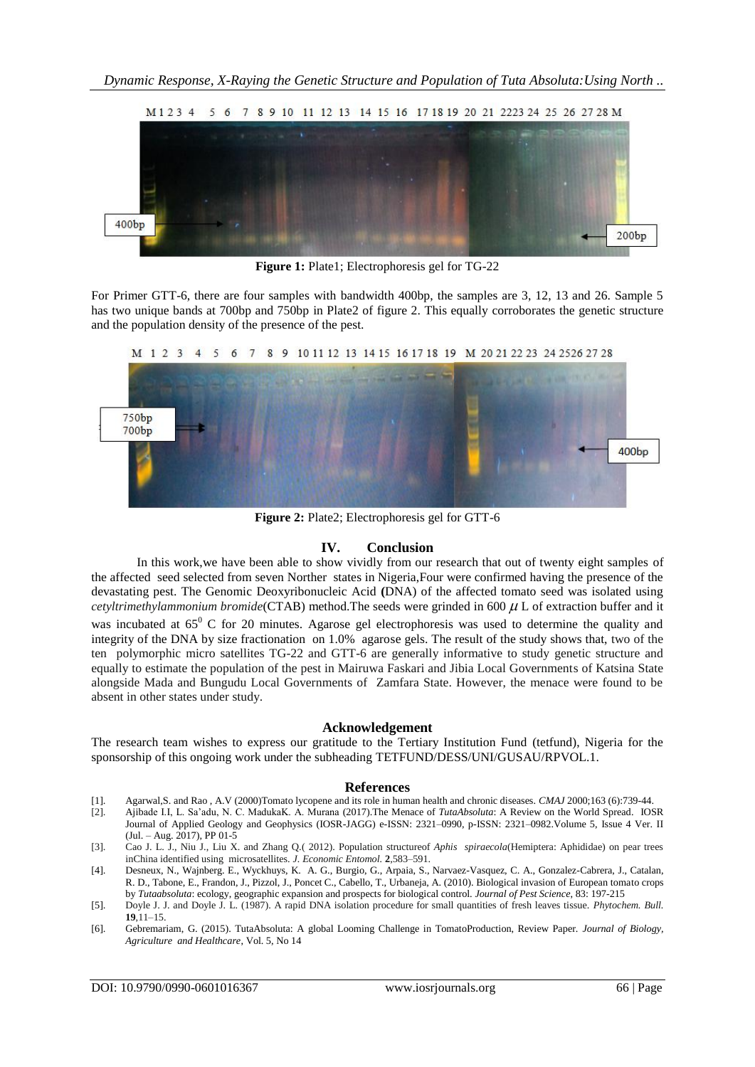

**Figure 1:** Plate1; Electrophoresis gel for TG-22

For Primer GTT-6, there are four samples with bandwidth 400bp, the samples are 3, 12, 13 and 26. Sample 5 has two unique bands at 700bp and 750bp in Plate2 of figure 2. This equally corroborates the genetic structure and the population density of the presence of the pest.



**Figure 2:** Plate2; Electrophoresis gel for GTT-6

## **IV. Conclusion**

In this work,we have been able to show vividly from our research that out of twenty eight samples of the affected seed selected from seven Norther states in Nigeria,Four were confirmed having the presence of the devastating pest. The Genomic Deoxyribonucleic Acid **(**DNA) of the affected tomato seed was isolated using *cetyltrimethylammonium bromide*(CTAB) method. The seeds were grinded in  $600 \mu$  L of extraction buffer and it was incubated at  $65^{\circ}$  C for 20 minutes. Agarose gel electrophoresis was used to determine the quality and integrity of the DNA by size fractionation on 1.0% agarose gels. The result of the study shows that, two of the ten polymorphic micro satellites TG-22 and GTT-6 are generally informative to study genetic structure and equally to estimate the population of the pest in Mairuwa Faskari and Jibia Local Governments of Katsina State alongside Mada and Bungudu Local Governments of Zamfara State. However, the menace were found to be absent in other states under study.

## **Acknowledgement**

The research team wishes to express our gratitude to the Tertiary Institution Fund (tetfund), Nigeria for the sponsorship of this ongoing work under the subheading TETFUND/DESS/UNI/GUSAU/RPVOL.1.

## **References**

- [1]. Agarwal,S. and Rao , A.V (2000)Tomato lycopene and its role in human health and chronic diseases. *CMAJ* 2000;163 (6):739-44.
- [2]. Ajibade I.I, L. Sa'adu, N. C. MadukaK. A. Murana (2017).The Menace of *TutaAbsoluta*: A Review on the World Spread. IOSR Journal of Applied Geology and Geophysics (IOSR-JAGG) e-ISSN: 2321–0990, p-ISSN: 2321–0982.Volume 5, Issue 4 Ver. II (Jul. – Aug. 2017), PP 01-5
- [3]. Cao J. L. J., Niu J., Liu X. and Zhang Q.( 2012). Population structureof *Aphis spiraecola*(Hemiptera: Aphididae) on pear trees inChina identified using microsatellites. *J. Economic Entomol.* **2**,583–591.
- [4]. Desneux, N., Wajnberg. E., Wyckhuys, K. A. G., Burgio, G., Arpaia, S., Narvaez-Vasquez, C. A., Gonzalez-Cabrera, J., Catalan, R. D., Tabone, E., Frandon, J., Pizzol, J., Poncet C., Cabello, T., Urbaneja, A. (2010). Biological invasion of European tomato crops by *Tutaabsoluta*: ecology, geographic expansion and prospects for biological control. *Journal of Pest Science*, 83: 197-215
- [5]. Doyle J. J. and Doyle J. L. (1987). A rapid DNA isolation procedure for small quantities of fresh leaves tissue. *Phytochem. Bull.*  **19**,11–15.
- [6]. Gebremariam, G. (2015). TutaAbsoluta: A global Looming Challenge in TomatoProduction, Review Paper. *Journal of Biology, Agriculture and Healthcare*, Vol. 5, No 14